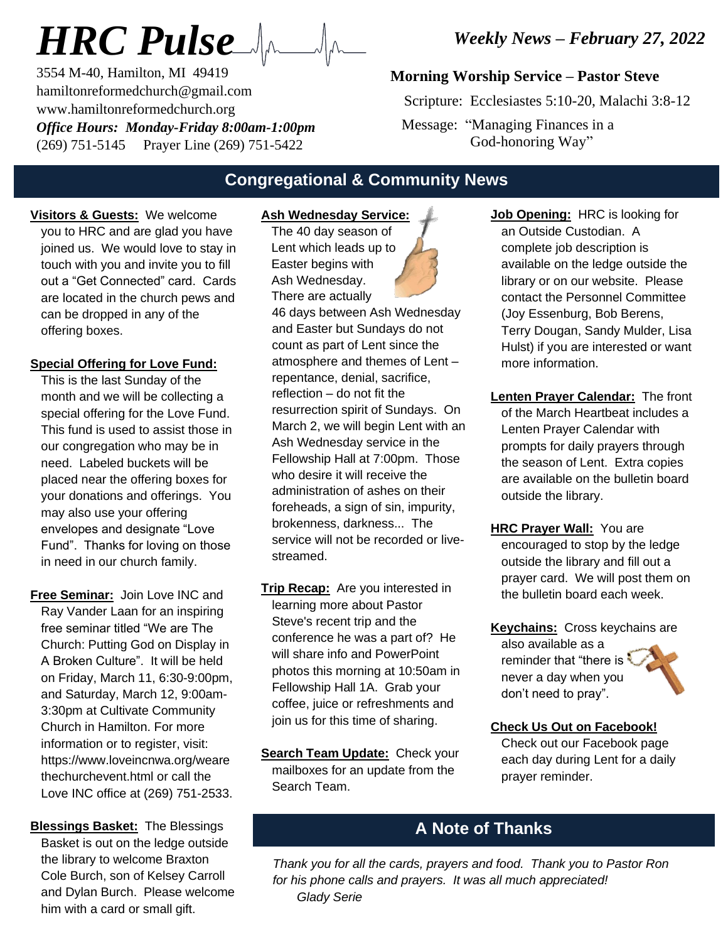# *HRC Pulse*

3554 M-40, Hamilton, MI 49419 hamiltonreformedchurch@gmail.com www.hamiltonreformedchurch.org *Office Hours: Monday-Friday 8:00am-1:00pm* (269) 751-5145 Prayer Line (269) 751-5422

*Weekly News – February 27, 2022*

### **Morning Worship Service – Pastor Steve**

Scripture: Ecclesiastes 5:10-20, Malachi 3:8-12

 Message: "Managing Finances in a God-honoring Way"

## **Congregational & Community News**

**Visitors & Guests:** We welcome you to HRC and are glad you have joined us. We would love to stay in touch with you and invite you to fill out a "Get Connected" card. Cards are located in the church pews and can be dropped in any of the offering boxes.

#### **Special Offering for Love Fund:**

This is the last Sunday of the month and we will be collecting a special offering for the Love Fund. This fund is used to assist those in our congregation who may be in need. Labeled buckets will be placed near the offering boxes for your donations and offerings. You may also use your offering envelopes and designate "Love Fund". Thanks for loving on those in need in our church family.

- **Free Seminar:** Join Love INC and Ray Vander Laan for an inspiring free seminar titled "We are The Church: Putting God on Display in A Broken Culture". It will be held on Friday, March 11, 6:30-9:00pm, and Saturday, March 12, 9:00am-3:30pm at Cultivate Community Church in Hamilton. For more information or to register, visit: https://www.loveincnwa.org/weare thechurchevent.html or call the Love INC office at (269) 751-2533.
- **Blessings Basket:** The Blessings Basket is out on the ledge outside the library to welcome Braxton Cole Burch, son of Kelsey Carroll and Dylan Burch. Please welcome him with a card or small gift.

# **Ash Wednesday Service:**

**The 40 day season of**  Lent which leads up to Easter begins with Ash Wednesday. There are actually

46 days between Ash Wednesday and Easter but Sundays do not count as part of Lent since the atmosphere and themes of Lent – repentance, denial, sacrifice, reflection – do not fit the resurrection spirit of Sundays. On March 2, we will begin Lent with an Ash Wednesday service in the Fellowship Hall at 7:00pm. Those who desire it will receive the administration of ashes on their foreheads, a sign of sin, impurity, brokenness, darkness... The service will not be recorded or livestreamed.

- **Trip Recap:** Are you interested in learning more about Pastor Steve's recent trip and the conference he was a part of? He will share info and PowerPoint photos this morning at 10:50am in Fellowship Hall 1A. Grab your coffee, juice or refreshments and join us for this time of sharing.
- **Search Team Update:** Check your mailboxes for an update from the Search Team.

**Job Opening:** HRC is looking for an Outside Custodian. A complete job description is available on the ledge outside the library or on our website. Please contact the Personnel Committee (Joy Essenburg, Bob Berens, Terry Dougan, Sandy Mulder, Lisa Hulst) if you are interested or want more information.

- **Lenten Prayer Calendar:** The front of the March Heartbeat includes a Lenten Prayer Calendar with prompts for daily prayers through the season of Lent. Extra copies are available on the bulletin board outside the library.
- **HRC Prayer Wall:** You are encouraged to stop by the ledge outside the library and fill out a prayer card. We will post them on the bulletin board each week.
- **Keychains:** Cross keychains are also available as a reminder that "there is never a day when you don't need to pray".

#### **Check Us Out on Facebook!**

Check out our Facebook page each day during Lent for a daily prayer reminder.

# **A Note of Thanks**

*Thank you for all the cards, prayers and food. Thank you to Pastor Ron for his phone calls and prayers. It was all much appreciated! Glady Serie*